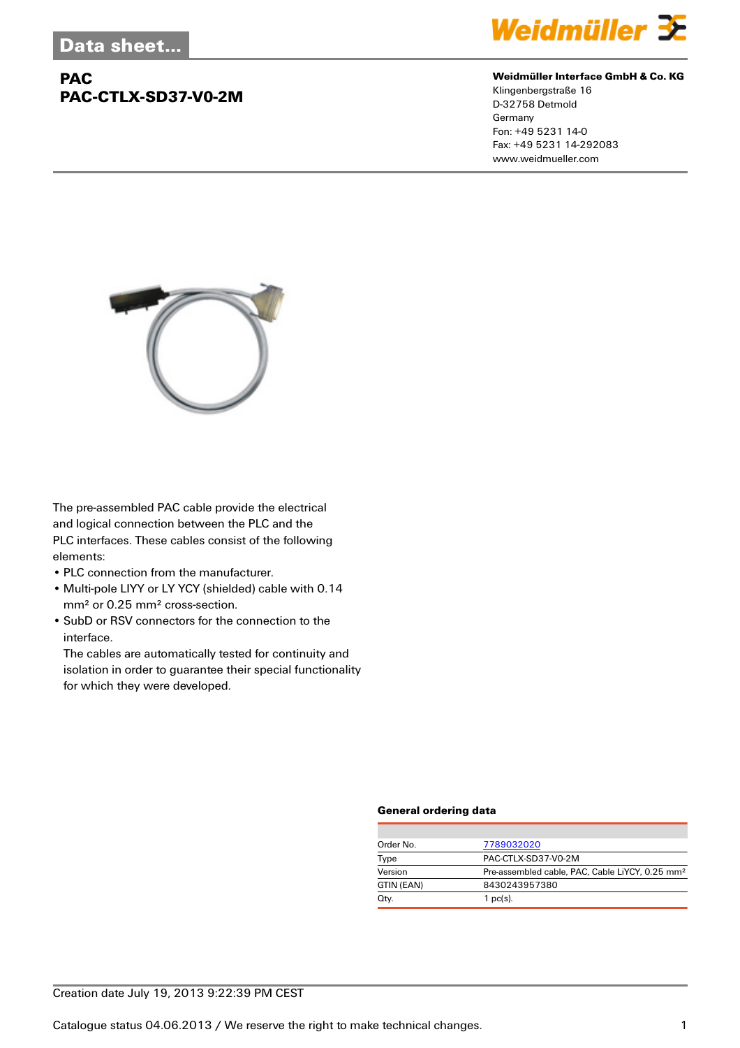## **PAC PAC-CTLX-SD37-V0-2M**



#### **Weidmüller Interface GmbH & Co. KG**

Klingenbergstraße 16 D-32758 Detmold Germany Fon: +49 5231 14-0 Fax: +49 5231 14-292083 www.weidmueller.com



The pre-assembled PAC cable provide the electrical and logical connection between the PLC and the PLC interfaces. These cables consist of the following elements:

- PLC connection from the manufacturer.
- Multi-pole LIYY or LY YCY (shielded) cable with 0.14 mm² or 0.25 mm² cross-section.
- SubD or RSV connectors for the connection to the interface.

The cables are automatically tested for continuity and isolation in order to guarantee their special functionality for which they were developed.

#### **General ordering data**

| Order No.  | 7789032020                                                  |  |  |
|------------|-------------------------------------------------------------|--|--|
| Type       | PAC-CTLX-SD37-V0-2M                                         |  |  |
| Version    | Pre-assembled cable, PAC, Cable LiYCY, 0.25 mm <sup>2</sup> |  |  |
| GTIN (EAN) | 8430243957380                                               |  |  |
| Qty.       | 1 $pc(s)$ .                                                 |  |  |